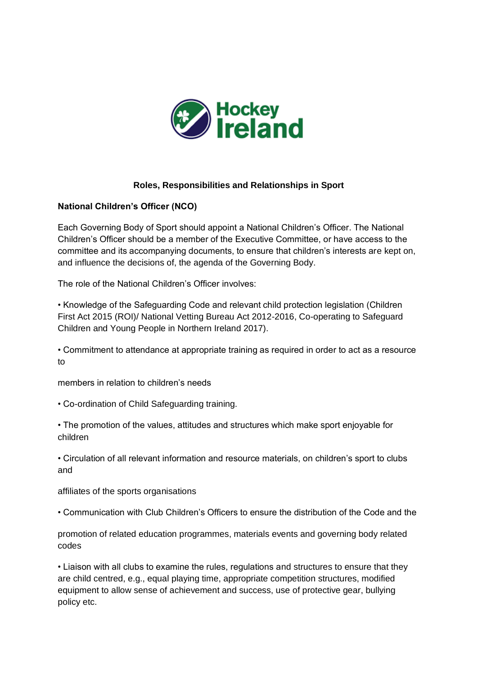

## **Roles, Responsibilities and Relationships in Sport**

#### **National Children's Officer (NCO)**

Each Governing Body of Sport should appoint a National Children's Officer. The National Children's Officer should be a member of the Executive Committee, or have access to the committee and its accompanying documents, to ensure that children's interests are kept on, and influence the decisions of, the agenda of the Governing Body.

The role of the National Children's Officer involves:

• Knowledge of the Safeguarding Code and relevant child protection legislation (Children First Act 2015 (ROI)/ National Vetting Bureau Act 2012-2016, Co-operating to Safeguard Children and Young People in Northern Ireland 2017).

• Commitment to attendance at appropriate training as required in order to act as a resource to

members in relation to children's needs

• Co-ordination of Child Safeguarding training.

• The promotion of the values, attitudes and structures which make sport enjoyable for children

• Circulation of all relevant information and resource materials, on children's sport to clubs and

affiliates of the sports organisations

• Communication with Club Children's Officers to ensure the distribution of the Code and the

promotion of related education programmes, materials events and governing body related codes

• Liaison with all clubs to examine the rules, regulations and structures to ensure that they are child centred, e.g., equal playing time, appropriate competition structures, modified equipment to allow sense of achievement and success, use of protective gear, bullying policy etc.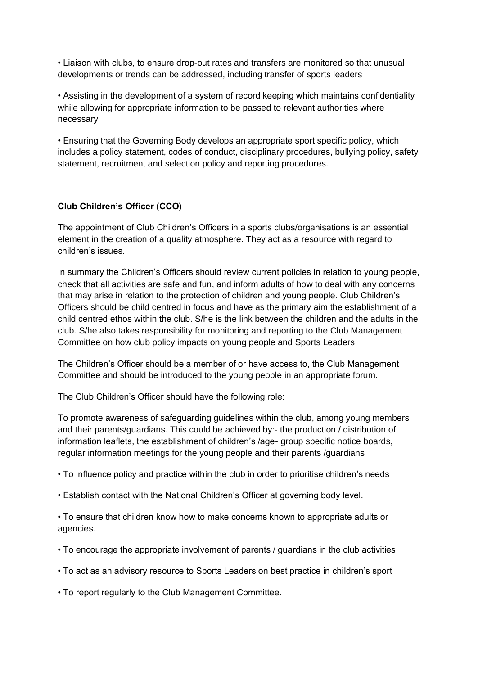• Liaison with clubs, to ensure drop-out rates and transfers are monitored so that unusual developments or trends can be addressed, including transfer of sports leaders

• Assisting in the development of a system of record keeping which maintains confidentiality while allowing for appropriate information to be passed to relevant authorities where necessary

• Ensuring that the Governing Body develops an appropriate sport specific policy, which includes a policy statement, codes of conduct, disciplinary procedures, bullying policy, safety statement, recruitment and selection policy and reporting procedures.

# **Club Children's Officer (CCO)**

The appointment of Club Children's Officers in a sports clubs/organisations is an essential element in the creation of a quality atmosphere. They act as a resource with regard to children's issues.

In summary the Children's Officers should review current policies in relation to young people, check that all activities are safe and fun, and inform adults of how to deal with any concerns that may arise in relation to the protection of children and young people. Club Children's Officers should be child centred in focus and have as the primary aim the establishment of a child centred ethos within the club. S/he is the link between the children and the adults in the club. S/he also takes responsibility for monitoring and reporting to the Club Management Committee on how club policy impacts on young people and Sports Leaders.

The Children's Officer should be a member of or have access to, the Club Management Committee and should be introduced to the young people in an appropriate forum.

The Club Children's Officer should have the following role:

To promote awareness of safeguarding guidelines within the club, among young members and their parents/guardians. This could be achieved by:- the production / distribution of information leaflets, the establishment of children's /age- group specific notice boards, regular information meetings for the young people and their parents /guardians

- To influence policy and practice within the club in order to prioritise children's needs
- Establish contact with the National Children's Officer at governing body level.

• To ensure that children know how to make concerns known to appropriate adults or agencies.

- To encourage the appropriate involvement of parents / guardians in the club activities
- To act as an advisory resource to Sports Leaders on best practice in children's sport

• To report regularly to the Club Management Committee.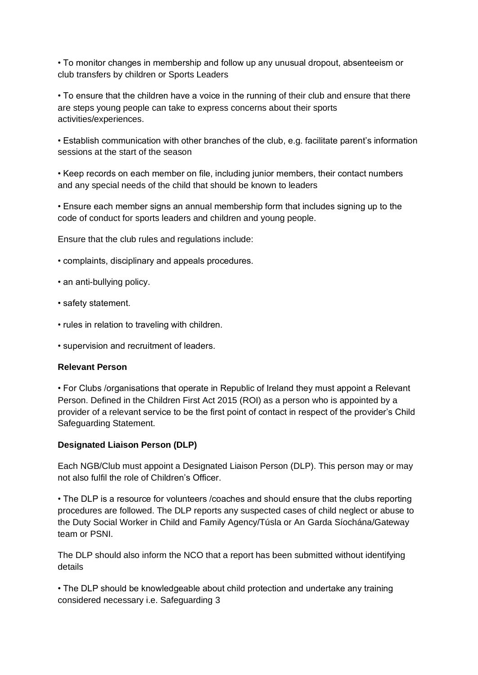• To monitor changes in membership and follow up any unusual dropout, absenteeism or club transfers by children or Sports Leaders

• To ensure that the children have a voice in the running of their club and ensure that there are steps young people can take to express concerns about their sports activities/experiences.

• Establish communication with other branches of the club, e.g. facilitate parent's information sessions at the start of the season

• Keep records on each member on file, including junior members, their contact numbers and any special needs of the child that should be known to leaders

• Ensure each member signs an annual membership form that includes signing up to the code of conduct for sports leaders and children and young people.

Ensure that the club rules and regulations include:

- complaints, disciplinary and appeals procedures.
- an anti-bullying policy.
- safety statement.
- rules in relation to traveling with children.
- supervision and recruitment of leaders.

#### **Relevant Person**

• For Clubs /organisations that operate in Republic of Ireland they must appoint a Relevant Person. Defined in the Children First Act 2015 (ROI) as a person who is appointed by a provider of a relevant service to be the first point of contact in respect of the provider's Child Safeguarding Statement.

## **Designated Liaison Person (DLP)**

Each NGB/Club must appoint a Designated Liaison Person (DLP). This person may or may not also fulfil the role of Children's Officer.

• The DLP is a resource for volunteers /coaches and should ensure that the clubs reporting procedures are followed. The DLP reports any suspected cases of child neglect or abuse to the Duty Social Worker in Child and Family Agency/Túsla or An Garda Síochána/Gateway team or PSNI.

The DLP should also inform the NCO that a report has been submitted without identifying details

• The DLP should be knowledgeable about child protection and undertake any training considered necessary i.e. Safeguarding 3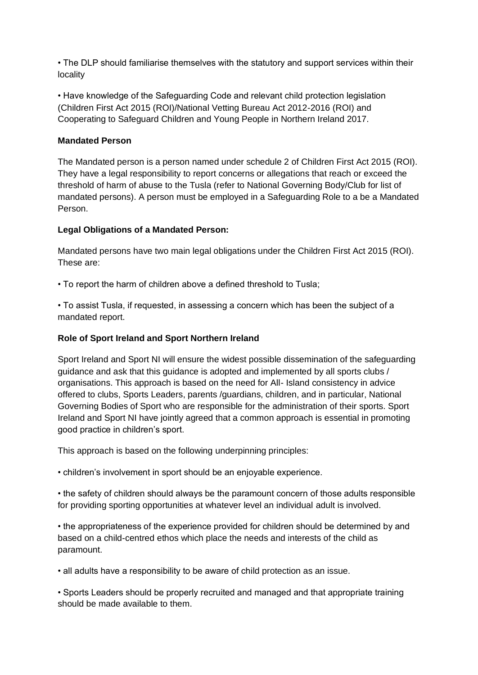• The DLP should familiarise themselves with the statutory and support services within their locality

• Have knowledge of the Safeguarding Code and relevant child protection legislation (Children First Act 2015 (ROI)/National Vetting Bureau Act 2012-2016 (ROI) and Cooperating to Safeguard Children and Young People in Northern Ireland 2017.

#### **Mandated Person**

The Mandated person is a person named under schedule 2 of Children First Act 2015 (ROI). They have a legal responsibility to report concerns or allegations that reach or exceed the threshold of harm of abuse to the Tusla (refer to National Governing Body/Club for list of mandated persons). A person must be employed in a Safeguarding Role to a be a Mandated Person.

#### **Legal Obligations of a Mandated Person:**

Mandated persons have two main legal obligations under the Children First Act 2015 (ROI). These are:

• To report the harm of children above a defined threshold to Tusla;

• To assist Tusla, if requested, in assessing a concern which has been the subject of a mandated report.

### **Role of Sport Ireland and Sport Northern Ireland**

Sport Ireland and Sport NI will ensure the widest possible dissemination of the safeguarding guidance and ask that this guidance is adopted and implemented by all sports clubs / organisations. This approach is based on the need for All- Island consistency in advice offered to clubs, Sports Leaders, parents /guardians, children, and in particular, National Governing Bodies of Sport who are responsible for the administration of their sports. Sport Ireland and Sport NI have jointly agreed that a common approach is essential in promoting good practice in children's sport.

This approach is based on the following underpinning principles:

• children's involvement in sport should be an enjoyable experience.

• the safety of children should always be the paramount concern of those adults responsible for providing sporting opportunities at whatever level an individual adult is involved.

• the appropriateness of the experience provided for children should be determined by and based on a child-centred ethos which place the needs and interests of the child as paramount.

• all adults have a responsibility to be aware of child protection as an issue.

• Sports Leaders should be properly recruited and managed and that appropriate training should be made available to them.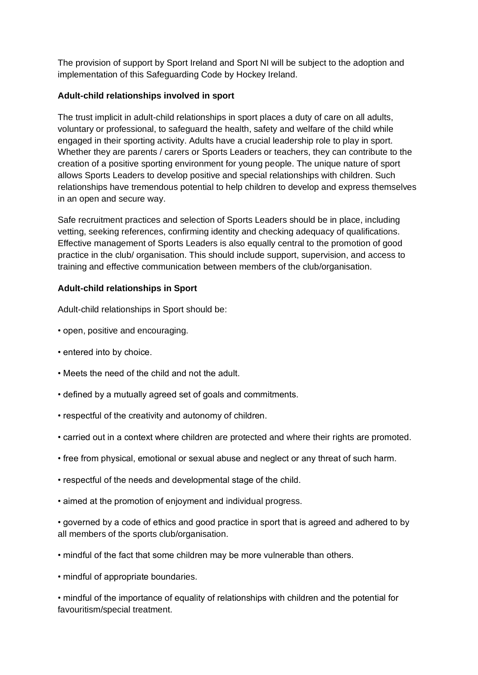The provision of support by Sport Ireland and Sport NI will be subject to the adoption and implementation of this Safeguarding Code by Hockey Ireland.

### **Adult-child relationships involved in sport**

The trust implicit in adult-child relationships in sport places a duty of care on all adults, voluntary or professional, to safeguard the health, safety and welfare of the child while engaged in their sporting activity. Adults have a crucial leadership role to play in sport. Whether they are parents / carers or Sports Leaders or teachers, they can contribute to the creation of a positive sporting environment for young people. The unique nature of sport allows Sports Leaders to develop positive and special relationships with children. Such relationships have tremendous potential to help children to develop and express themselves in an open and secure way.

Safe recruitment practices and selection of Sports Leaders should be in place, including vetting, seeking references, confirming identity and checking adequacy of qualifications. Effective management of Sports Leaders is also equally central to the promotion of good practice in the club/ organisation. This should include support, supervision, and access to training and effective communication between members of the club/organisation.

#### **Adult-child relationships in Sport**

Adult-child relationships in Sport should be:

- open, positive and encouraging.
- entered into by choice.
- Meets the need of the child and not the adult.
- defined by a mutually agreed set of goals and commitments.
- respectful of the creativity and autonomy of children.
- carried out in a context where children are protected and where their rights are promoted.
- free from physical, emotional or sexual abuse and neglect or any threat of such harm.
- respectful of the needs and developmental stage of the child.
- aimed at the promotion of enjoyment and individual progress.

• governed by a code of ethics and good practice in sport that is agreed and adhered to by all members of the sports club/organisation.

- mindful of the fact that some children may be more vulnerable than others.
- mindful of appropriate boundaries.

• mindful of the importance of equality of relationships with children and the potential for favouritism/special treatment.